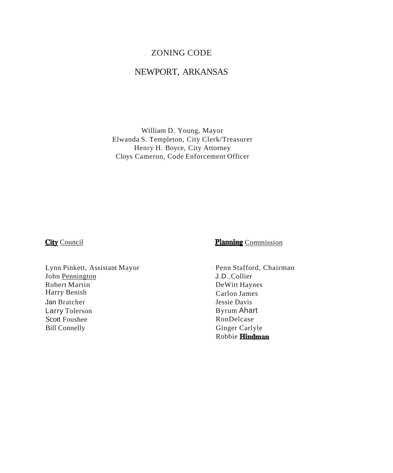# . ZONING CODE

# NEWPORT, ARKANSAS

William D. Young, Mayor Elwanda S. Templeton, City Clerk/Treasurer Henry H. Boyce, City Attorney Cloys Cameron, Code Enforcement Officer

**City** Council

Lynn Pinkett, Assistant Mayor John Pennington Robert Martin' , Harry Benish Jan Bratcher Larry Tolerson Scott Foushee Bill Connelly

# Planning Commission

- Penn Stafford, Chairman J.D.,Collier DeWitt Haynes Carlon James Jessie Davis Byrum Ahart RonDelcase Ginger Carlyle Robbie Hindman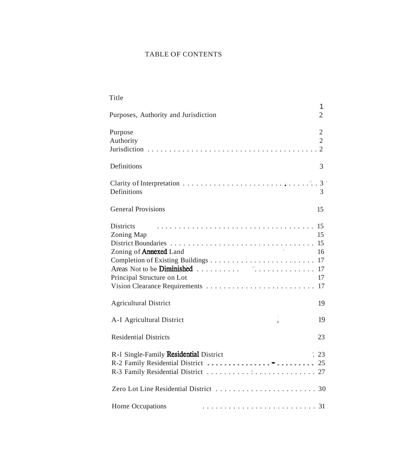# TABLE OF CONTENTS

| Title                                                                                                                         |                                                    |
|-------------------------------------------------------------------------------------------------------------------------------|----------------------------------------------------|
| Purposes, Authority and Jurisdiction                                                                                          | 1<br>$\overline{2}$                                |
| Purpose<br>Authority                                                                                                          | $\overline{2}$<br>$\overline{2}$<br>$\overline{2}$ |
| Definitions                                                                                                                   | 3                                                  |
| Definitions                                                                                                                   | 3<br>3                                             |
| <b>General Provisions</b>                                                                                                     | 15                                                 |
| <b>Districts</b><br>Zoning Map<br>the contract of the contract<br>Zoning of <b>Annexed</b> Land<br>Principal Structure on Lot | 15<br>16<br>17                                     |
| <b>Agricultural District</b>                                                                                                  | 19                                                 |
| A-I Agricultural District                                                                                                     | 19                                                 |
| <b>Residential Districts</b>                                                                                                  | 23                                                 |
| R-1 Single-Family <b>Residential</b> District                                                                                 | 23                                                 |
|                                                                                                                               |                                                    |
| Home Occupations                                                                                                              |                                                    |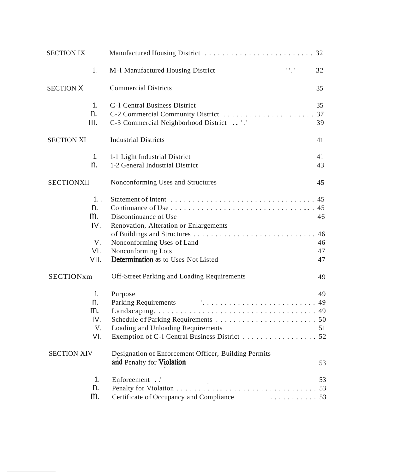| <b>SECTION IX</b>  |                                                                                     |    |
|--------------------|-------------------------------------------------------------------------------------|----|
| 1.                 | $\mathbb{E}[\mathbf{I}]\rightarrow \mathbf{I}$<br>M-1 Manufactured Housing District | 32 |
| <b>SECTION X</b>   | <b>Commercial Districts</b>                                                         | 35 |
| 1.                 | C-1 Central Business District                                                       | 35 |
| n.                 |                                                                                     | 37 |
| Ш.                 | C-3 Commercial Neighborhood District  '.'                                           | 39 |
| <b>SECTION XI</b>  | <b>Industrial Districts</b>                                                         | 41 |
| 1.                 | 1-1 Light Industrial District                                                       | 41 |
| n.                 | 1-2 General Industrial District                                                     | 43 |
| <b>SECTIONXII</b>  | Nonconforming Uses and Structures                                                   | 45 |
|                    | 1.                                                                                  |    |
| n.                 |                                                                                     | 45 |
| m.                 | Discontinuance of Use                                                               | 46 |
| IV.                | Renovation, Alteration or Enlargements                                              |    |
|                    |                                                                                     | 46 |
| V.                 | Nonconforming Uses of Land                                                          | 46 |
| VI.                | Nonconforming Lots                                                                  | 47 |
| VII.               | Determination as to Uses Not Listed                                                 | 47 |
| SECTIONxm          | Off-Street Parking and Loading Requirements                                         | 49 |
| 1.                 | Purpose                                                                             | 49 |
| n.                 | <b>Parking Requirements</b>                                                         |    |
| m.                 |                                                                                     |    |
| IV.                |                                                                                     |    |
| V.                 | Loading and Unloading Requirements                                                  | 51 |
| VI.                | Exemption of C-1 Central Business District                                          | 52 |
| <b>SECTION XIV</b> | Designation of Enforcement Officer, Building Permits                                |    |
|                    | and Penalty for Violation                                                           | 53 |
| 1.                 | Enforcement                                                                         | 53 |
| n.                 |                                                                                     |    |
| m.                 |                                                                                     |    |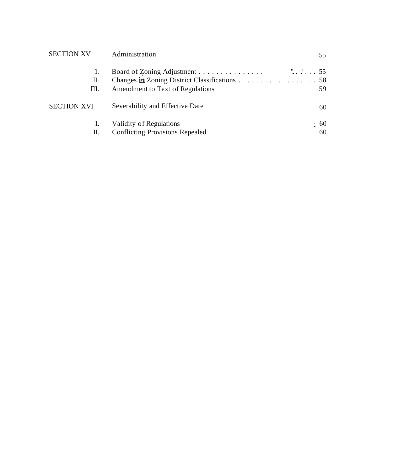| <b>SECTION XV</b>  | Administration                         | 55 |
|--------------------|----------------------------------------|----|
| Π.                 |                                        |    |
| m.                 | Amendment to Text of Regulations       | 59 |
| <b>SECTION XVI</b> | Severability and Effective Date        | 60 |
|                    | Validity of Regulations                | 60 |
| П.                 | <b>Conflicting Provisions Repealed</b> | 60 |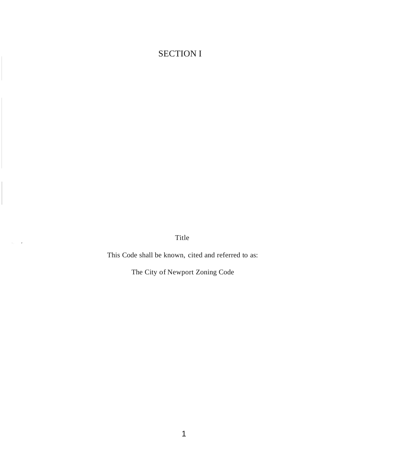# SECTION I

Title

 $\tau_{\rm cr} = 0$ 

This Code shall be known, cited and referred to as:

The City of Newport Zoning Code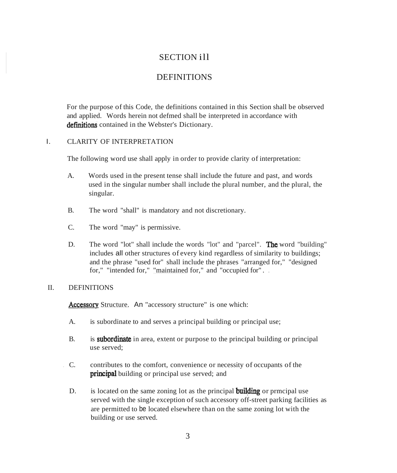# SECTION ill

# **DEFINITIONS**

For the purpose of this Code, the definitions contained in this Section shall be observed and applied. Words herein not defmed shall be interpreted in accordance with definitions contained in the Webster's Dictionary.

#### I. CLARITY OF INTERPRETATION

The following word use shall apply in order to provide clarity of interpretation:

- A. Words used in the present tense shall include the future and past, and words used in the singular number shall include the plural number, and the plural, the singular.
- B. The word "shall" is mandatory and not discretionary.
- C. The word "may" is permissive.
- D. The word "lot" shall include the words "lot" and "parcel". **The** word "building" includes all other structures of every kind regardless of similarity to buildings; and the phrase "used for" shall include the phrases "arranged for," "designed for," "intended for," "maintained for," and "occupied for" . .

#### II. DEFINITIONS

Accessory Structure. An "accessory structure" is one which:

- A. is subordinate to and serves a principal building or principal use;
- B. is **subordinate** in area, extent or purpose to the principal building or principal use served;
- . C. contributes to the comfort, convenience or necessity of occupants of the principal building or principal use served; and
- D. is located on the same zoning lot as the principal **building** or prmcipal use served with the single exception of such accessory off-street parking facilities as are permitted to be located elsewhere than on the same zoning lot with the building or use served.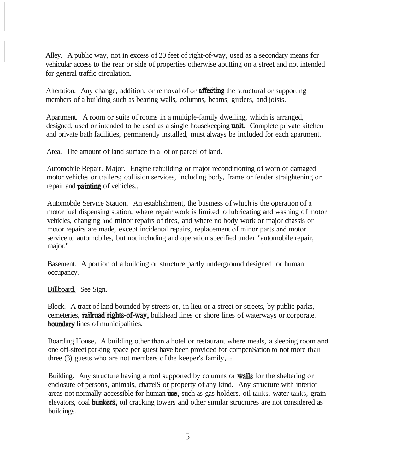Alley. A public way, not in excess of 20 feet of right-of-way, used as a secondary means for vehicular access to the rear or side of properties otherwise abutting on a street and not intended for general traffic circulation.

Alteration. Any change, addition, or removal of or **affecting** the structural or supporting members of a building such as bearing walls, columns, beams, girders, and joists.

Apartment. A room or suite of rooms in a multiple-family dwelling, which is arranged, designed, used or intended to be used as a single housekeeping **unit.** Complete private kitchen and private bath facilities, permanently installed, must always be included for each apartment.

Area. The amount of land surface in a lot or parcel of land.

Automobile Repair. Major. Engine rebuilding or major reconditioning of worn or damaged motor vehicles or trailers; collision services, including body, frame or fender straightening or repair and painting of vehicles.,

Automobile Service Station. An establishment, the business of which is the operation of a motor fuel dispensing station, where repair work is limited to lubricating and washing of motor vehicles, changing and minor repairs of tires, and where no body work or major chassis or motor repairs are made, except incidental repairs, replacement of minor parts and motor service to automobiles, but not including and operation specified under "automobile repair, major." '

Basement. A portion of a building or structure partly underground designed for human occupancy.

Billboard. See Sign.

Block. A tract of land bounded by streets or, in lieu or a street or streets, by public parks, cemeteries, **railroad rights-of-way**, bulkhead lines or shore lines of waterways or corporate. boundary lines of municipalities.

Boarding House. A building other than a hotel or restaurant where meals, a sleeping room and one off-street parking space per guest have been provided for compenSation to not more than three (3) guests who are not members of the keeper's family.

Building. Any structure having a roof supported by columns or **walls** for the sheltering or enclosure of persons, animals, chattelS or property of any kind. Any structure with interior areas not normally accessible for human use, such as gas holders, oil tanks, water tanks, grain elevators, coal bUnkers, oil cracking towers and other similar strucnires are not considered as buildings.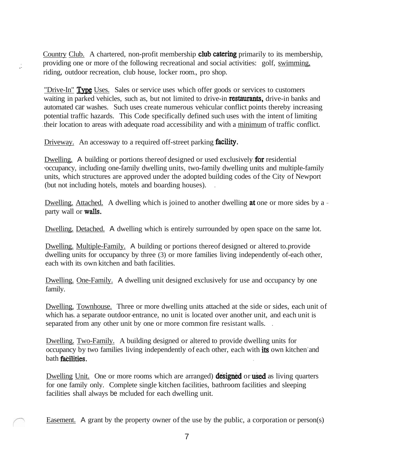Country Club. A chartered, non-profit membership **club catering** primarily to its membership, providing one or more of the following recreational and social activities: golf, swimming, riding, outdoor recreation, club house, locker room., pro shop.

"Drive-In" Type Uses. Sales or service uses which offer goods or services to customers waiting in parked vehicles, such as, but not limited to drive-in **restaurants**, drive-in banks and automated car washes. Such uses create numerous vehicular conflict points thereby increasing potential traffic hazards. This Code specifically defined such uses with the intent of limiting .their location to areas with adequate road accessibility and with a minimum of traffic conflict.

Driveway. An accessway to a required off-street parking **facility**.

,'.

Dwelling. A building or portions thereof designed or used exclusively, for residential ·occupancy, including one-family dwelling units, two-family dwelling units and multiple-family units, which structures are approved under the adopted building codes of the City of Newport (but not including hotels, motels and boarding houses). .

Dwelling. Attached. A dwelling which is joined to another dwelling **at** one or more sides by a party wall or **walls.** 

Dwelling. Detached. A dwelling which is entirely surrounded by open space on the same lot.

Dwelling. Multiple-Family. A building or portions thereof designed or altered to.provide dwelling units for occupancy by three (3) or more families living independently of-each other, each with its own kitchen and bath facilities.

Dwelling. One-Family. A dwelling unit designed exclusively for use and occupancy by one family.

Dwelling. Townhouse. Three or more dwelling units attached at the side or sides, each unit of which has. a separate outdoor-entrance, no unit is located over another unit, and each unit is separated from any other unit by one or more common fire resistant walls.

Dwelling. Two-Family. A building designed or altered to provide dwelling units for occupancy by two families living independently of each other, each with **its** own kitchen'and bath **facilities**.

Dwelling Unit. One or more rooms which are arranged) **designed** or **used** as living quarters for one family only. Complete single 'kitchen facilities, bathroom facilities and sleeping facilities shall always be mcluded for each dwelling unit.

**Easement.** A grant by the property owner of the use by the public, a corporation or person(s)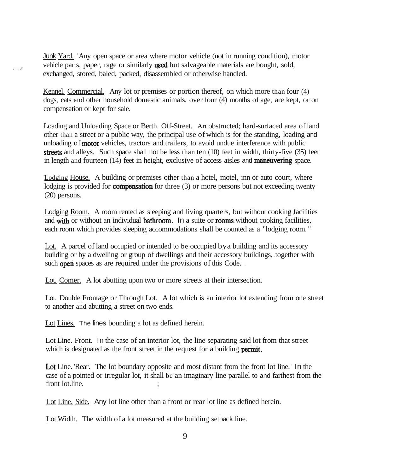Junk Yard. 'Any open space or area where motor vehicle (not in running condition), motor vehicle parts, paper, rage or similarly **used** but salvageable materials are bought, sold, exchanged, stored, baled, packed, disassembled or otherwise handled.

Kennel. Commercial. Any lot or premises or portion thereof, on which more than four (4) dogs, cats and other household domestic animals, over four (4) months of age, are kept, or on compensation or kept for sale.

Loading and Unloading Space or Berth. Off-Street. An obstructed; hard-surfaced area of land other than a street or a public way, the principal use of which is for the standing, loading and unloading of **motor** vehicles, tractors and trailers, to avoid undue interference with public streets and alleys. Such space shall not be less than ten  $(10)$  feet in width, thirty-five  $(35)$  feet in length and fourteen (14) feet in height, exclusive of access aisles and **maneuvering** space.

Lodging House. A building or premises other than a hotel, motel, inn or auto court, where lodging is provided for **compensation** for three (3) or more persons but not exceeding twenty (20) persons.

Lodging Room. A room rented as sleeping and living quarters, but without cooking,facilities and with or without an individual bathroom. In a suite or rooms without cooking facilities, each room which provides sleeping accommodations shall be counted as a "lodging room. "

Lot. A parcel of land occupied or intended to be occupied by a building and its accessory building or by a dwelling or group of dwellings and their accessory buildings,.together with such **open** spaces as are required under the provisions of this Code. .

Lot. Comer. A lot abutting upon two or more streets at their intersection.

Lot. Double Frontage or Through Lot. A lot which is an interior lot extending from one street to another and abutting a street on two ends.

Lot Lines. The lines bounding a lot as defined herein.

.......

Lot Line. Front. In the case of an interior lot, the line separating said lot from that street which is designated as the front street in the request for a building **permit.** 

Lot Line. 'Rear. The lot boundary opposite and most distant from the front lot line.' In the case of a pointed or irregular lot, it shall be an imaginary line parallel to and farthest from the front lot.line.

Lot Line. Side. Any lot line other than a front or rear lot line as defined herein.

Lot Width. The width of a lot measured at the building setback line.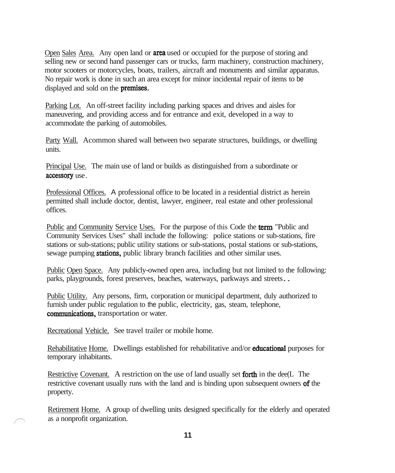Open Sales Area. Any open land or **area** used or occupied for the purpose of storing and selling new or second hand passenger cars or trucks, farm machinery, construction machinery, motor scooters or motorcycles, boats, trailers, aircraft and monuments and similar apparatus. No repair work is done in such an area except for minor incidental repair of items to be displayed and sold on the premises.

Parking Lot. An off-street facility including parking spaces and drives and aisles for maneuvering, and providing access and for entrance and exit, developed in a way to accommodate the parking of automobiles.

Party Wall. Acommon shared wall between two separate structures, buildings, or dwelling units.

Principal Use. The main use of land or builds as distinguished from a subordinate or accessory use.

Professional Offices. A professional office to be located in a residential district as herein permitted shall include doctor, dentist, lawyer, engineer, real estate and other professional offices.

Public and Community Service Uses. For the purpose of this Code the **term** "Public and Community Services Uses" shall include the following: police stations or sub-stations, fire stations or sub-stations; public utility stations or sub-stations, postal stations or sub-stations, sewage pumping stations, public library branch facilities and other similar uses.

Public Open Space. Any publicly-owned open area, including but not limited to the following: parks, playgrounds, forest preserves, beaches, waterways, parkways and streets..

Public Utility. Any persons, firm, corporation or municipal department, duly authorized to furnish under public regulation to the public, electricity, gas, steam, telephone, communications, transportation or water.

Recreational Vehicle. See travel trailer or mobile home.

Rehabilitative Home. Dwellings established for rehabilitative and/or educational purposes for temporary inhabitants.

Restrictive Covenant. A restriction on the use of land usually set **forth** in the dee(L The restrictive covenant usually runs with the land and is binding upon subsequent owners of the property.

Retirement Home. A group of dwelling units designed specifically for the elderly and operated as a nonprofit organization.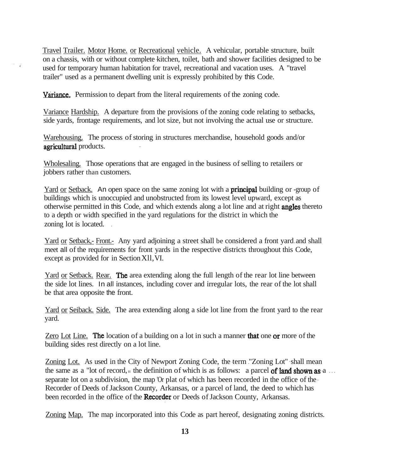Travel Trailer. Motor Home. or Recreational vehicle. A vehicular, portable structure, built on a chassis, with or without complete-kitchen, toilet, bath and shower facilities designed to be used for temporary human habitation for travel, recreational and vacation uses. A "travel trailer" used as a permanent dwelling unit is expressly prohibited by this Code.

Variance. Permission to depart from the literal requirements of the zoning code.

" .;;"

Variance Hardship. A departure from the provisions of the zoning code relating to setbacks, side yards, frontage requirements, and lot size, but not involving the actual use or structure.

Warehousing. The process of storing in structures merchandise, household goods and/or agricultural products.

Wholesaling. Those operations that are engaged in the business of selling to retailers or jobbers rather than customers.

Yard or Setback. An open space on the same zoning lot with a **principal** building or -group of buildings which is unoccupied and unobstructed from its lowest level upward, except as otherwise permitted in this Code, and which extends along a-lot line and at right angles thereto to a depth or width specified in the yard regulations for the district in which the zoning lot is located. .

Yard or Setback,- Front.- Any yard adjoining a street shall be considered a front yard and shall meet all of the requirements for front yards in the respective districts throughout this Code, except as provided for in SectionXll,VI.

Yard or Setback. Rear. The area extending along the full length of the rear lot line between the side lot lines. In all instances, including cover and irregular lots, the rear of the lot shall be that area opposite the front.

Yard or Seiback. Side. The area extending along a side lot line from the front yard to the rear yard.

Zero Lot Line. The location of a building on a lot in such a manner that one or more of the building sides rest directly on a lot line.

Zoning Lot. As used in the City of Newport Zoning Code, the term ."Zoning Lot" shall mean the same as a "lot of record,  $\mu$  the definition of which is as follows: a parcel **of land shown as**-a ... separate lot on a subdivision, the map 'Or plat of which has been recorded in the office of the-Recorder of Deeds of Jackson County, Arkansas, or a parcel of land, the deed to which has been recorded in the office of the Recorder or Deeds of Jackson County, Arkansas.

Zoning Map. The map incorporated into this Code as part hereof, designating zoning districts.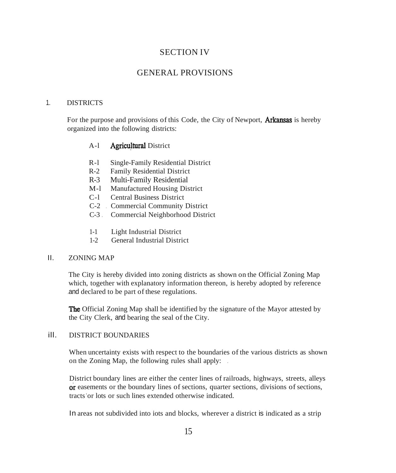# SECTION IV

### GENERAL PROVISIONS

#### 1. DISTRICTS

For the purpose and provisions of this Code, the City of Newport, **Arkansas** is hereby organized into the following districts:

#### A-l **Agricultural District**

- R-l Single-Family Residential District
- R-2 Family Residential District
- R-3 Multi-Family Residential
- M-l Manufactured Housing District
- C-l Central Business.District
- C-2 . Commercial Community District
- C-3 . Commercial Neighborhood District
- 1-1 Light Industrial District
- 1-2 General Industrial District

#### II. ZONING MAP

The City is hereby divided into zoning districts as shown on the Official Zoning Map which, together with explanatory information thereon, is hereby adopted by reference and declared to be part of these regulations.

**The** Official Zoning Map shall be identified by the signature of the Mayor attested by the City Clerk, and bearing the seal of the City.

#### ill. DISTRICT BOUNDARIES

When uncertainty exists with respect to the boundaries of the various districts as shown on the Zoning Map, the following rules shall apply: .

District boundary lines are either the center lines of railroads, highways, streets, alleys or easements or the boundary lines of sections, quarter sections, divisions of sections, tracts'or lots or such lines extended otherwise indicated.

In areas not subdivided into iots and blocks, wherever a district is indicated as a strip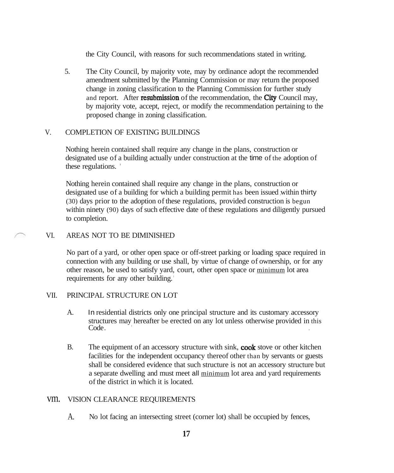the City Council, with reasons for such recommendations stated in writing.

5. The City Council, by majority vote, may by ordinance adopt the recommended amendment submitted by the Planning Commission or may return the proposed change in zoning classification to the Planning Commission for further study and report. After **resubmission** of the recommendation, the **City** Council may, by majority vote, accept, reject, or modify the recommendation pertaining to the proposed change in zoning classification.

### V. COMPLETION OF EXISTING BUILDINGS

Nothing herein contained shall require any change in the plans, construction or designated use of a building actually under construction at the time of the adoption of these regulations. '

Nothing herein contained shall require any change in the plans, construction or designated use of a building for which a building permit has been issued within thirty (30) days prior to the adoption of these regulations, provided construction is begun within ninety (90) days of such effective date of these regulations and diligently pursued to completion.

### VI. AREAS NOT TO BE DIMINISHED

No part of a yard, or other open space or off-street parking or loading space required in connection with any building or use shall, by virtue of change of ownership, or for any other reason, be used to satisfy yard, court, other open space or minimum lot area requirements for any other building.'

### VII. PRINCIPAL STRUCTURE ON LOT

- A. In residential districts only one principal structure and its customary.accessory structures may hereafter be erected on any lot unless otherwise provided in this Code. Code.
- B. The equipment of an accessory structure with sink, **cook** stove or other kitchen facilities for the independent occupancy thereof other than by servants or guests shall be considered evidence that such structure is not an accessory structure but a separate dwelling and must meet all minimum lot area and yard requirements of the district in which it is located.

### vm. VISION CLEARANCE REQUIREMENTS

A. No lot facing an intersecting street (corner lot) shall be occupied by fences,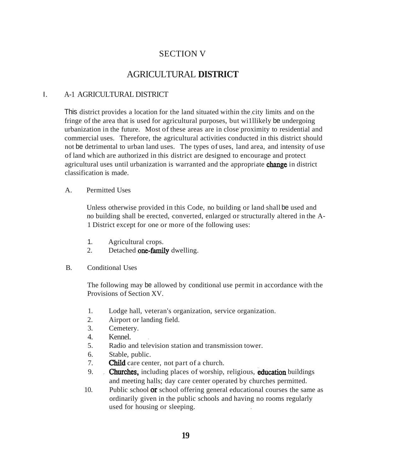### SECTION V

# AGRICULTURAL **DISTRICT**

#### I. A-1 AGRICULTURAL DISTRICT

This district provides a location for the land situated within the,city limits and on the fringe of the area that is used for agricultural purposes, but wi1llikely be undergoing urbanization in the future. Most of these areas are in close'proximity to residential and commercial uses. Therefore, the agricultural activities conducted in this district should not be detrimental to urban land uses. The types of uses, land area, and intensity of use of land which are authorized in this district are designed to encourage and protect agricultural uses until urbanization is warranted and the appropriate **change** in district classification is made.

#### A. Permitted Uses

Unless otherwise provided in this Code, no building or land-shall be used and no building shall be erected,-converted, enlarged or structurally altered in the A-1 District except for one or more of the following uses:

- 1. Agricultural crops.
- 2. Detached **one-family** dwelling.

#### B. Conditional Uses

The following may be allowed by conditional use permit in accordance with the Provisions of Section XV.

- 1. Lodge hall, veteran's organization, service organization.
- 2. Airport or landing field.
- 3. Cemetery.
- 4. Kennel. .
- 5. Radio and television station and transmission tower.
- 6. Stable, public.
- 7. **Child** care center, not part of a church.
- 9. **Churches**, including places of worship, religious, **education** buildings and meeting halls; day care center operated by churches permitted.
- 10. Public school **or** school offering general educational courses the same as ordinarily given in the public schools and having no rooms regularly used for housing or sleeping. .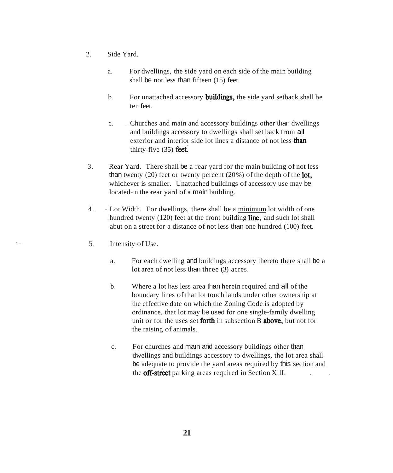- 2. Side Yard.
	- a. For dwellings, the side yard on each side of the main building shall be not less than fifteen (15) feet.
	- b. For unattached accessory **buildings,** the side yard setback shall be ten feet.
	- c. Churches and main and accessory buildings other than dwellings and buildings accessory to dwellings shall set back from all exterior and interior side lot lines a distance of not less-than thirty-five  $(35)$  feet.
- 3. Rear Yard. There shall be a rear yard for the main building of not less than twenty (20) feet or twenty percent (20%) of the depth of the **lot**, whichever is smaller. Unattached buildings of accessory use may be located-in the rear yard of a main building.
- 4. Lot Width. For dwellings, there shall be a minimum lot width of one hundred twenty (120) feet at the front building **line**, and such lot shall abut on a street for a distance of not less than one hundred (100) feet.
- $\frac{5}{2}$  Intensity of Use.
	- a. For each dwelling and buildings accessory thereto there shall be a lot area of not less than three (3) acres.
	- b. Where a lot has less area than herein required and all of the boundary lines of that lot touch lands under other ownership at the effective date on which the Zoning Code.is adopted by ordinance, that lot may be used for one single-family dwelling unit or for the uses set **forth** in subsection B **above**, but not for the raising of animals.
	- c. For churches and main and accessory buildings other than dwellings and buildings accessory to dwellings, the lot area shall be adequate to provide the yard areas required by this section and the **off-street** parking areas required in Section XIII.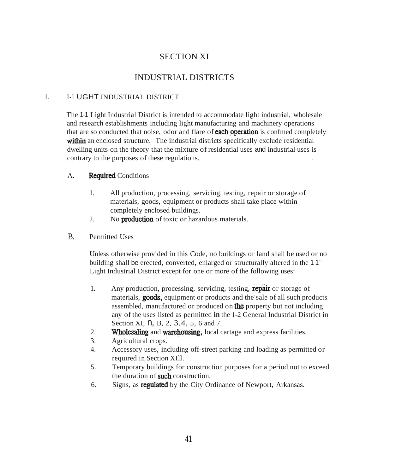# SECTION XI

# INDUSTRIAL DISTRICTS

### I. 1-1 UGHT INDUSTRIAL DISTRICT

The 1-1 Light Industrial District is intended to accommodate light industrial, wholesale and research establishments including light manufacturing and machinery operations that are so conducted that noise, odor and flare of **each operation** is confmed completely within an enclosed structure. The industrial districts specifically exclude residential dwelling units on the theory that the mixture of residential uses and industrial uses is contrary to the purposes of these regulations. .

### A. Required Conditions

- 1. All production, processing, servicing, testing, repair or storage of materials, goods, equipment or products shall take place within completely enclosed buildings.
- 2. No **production** of toxic or hazardous materials.
- B. Permitted Uses

Unless otherwise provided in this Code, no buildings or land shall be used or no building shall be erected, converted, enlarged or structurally altered in the 1-1" Light Industrial District except for one or more of the following uses:

- 1. Any production, processing, servicing, testing, **repair** or storage of materials, **goods**, equipment or products and the sale of all such products assembled, manufactured or produced on **the** property but not including any of the uses listed as permitted **in** the 1-2 General Industrial District in Section XI,  $n, B, 2, 3.4, 5, 6$  and 7.
- 2. Wholesaling and warehousing, local cartage and express facilities.
- 3. Agricultural crops.
- 4. Accessory uses, including off-street parking and loading as permitted or required in Section XIll.
- 5. Temporary buildings for construction purposes for a period not to exceed the duration of **such** construction.
- 6. Signs, as regulated by the City Ordinance of Newport, Arkansas.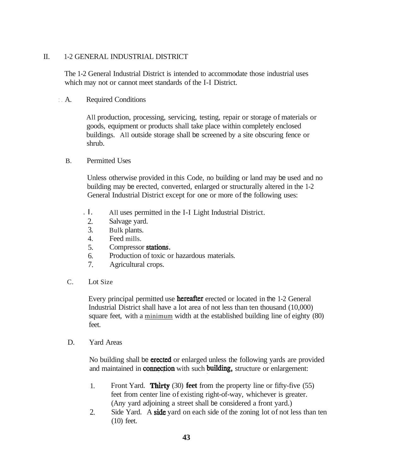### II. 1-2 GENERAL INDUSTRIAL DISTRICT

The 1-2 General Industrial District is intended to accommodate those industrial uses which may not or cannot meet standards of the I-I District.

:. A. Required Conditions

All production, processing, servicing, testing, repair or storage of materials or goods, equipment or products shall take place within completely enclosed buildings. All outside storage shall be screened by a site obscuring fence or shrub.

B. Permitted Uses

Unless otherwise provided in this Code, no building or land may be used and no building may be erected, converted, enlarged or structurally altered in the 1-2 General Industrial District except for one or more of the following uses:

- . l. All uses permitted in the I-I Light Industrial District.
- 2. Salvage yard.
- 3. Bulk plants.
- 4. Feed mills.
- 5. Compressor stationS.
- 6. Production of toxic or hazardous materials.
- 7. Agricultural crops.
- C. Lot Size

Every principal permitted use **hereafter** erected or located in the 1-2 General Industrial District shall have a lot area of not less than ten thousand (10,000) square feet, with a minimum width at the established building line of eighty (80) feet.

D. Yard Areas

No building shall be **erected** or enlarged unless the following yards are provided and maintained in **connection** with such **building**, structure or enlargement:

- 1. Front Yard. Thirty (30) **feet** from the property line or fifty-five (55) feet from center line of existing right-of-way, whichever is greater. (Any yard adjoining a street shall be considered a front yard.)
- 2. Side Yard. A **side** yard on each side of the zoning lot of not less than ten (10) feet.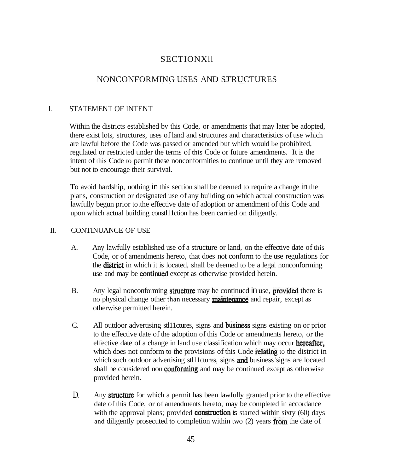# **SECTIONXII**

# NONCONFORMING USES AND STRUCTURES

### I. STATEMENT OF INTENT

Within the districts established by this Code, or amendments that may later be adopted, there exist lots, structures, uses of land and structures and characteristics of use which are lawful before the Code was passed or amended but which would be prohibited, regulated or restricted under the terms of this Code or future amendments. It is the intent of this Code to permit these nonconformities to continue until they are removed but not to encourage their survival.

To avoid hardship, nothing in this section shall be deemed to require a change in the plans, construction or designated use of any building on which actual construction was lawfully begun prior to.the effective date of adoption or amendment of this Code and upon which actual building constl11ction has been carried on diligently.

#### II. CONTINUANCE OF USE

- A. Any lawfully established use of a structure or land, on the effective date of this Code, or of amendments hereto, that does not conform to the use regulations for the **district** in which it is located, shall be deemed to be a legal nonconforming use and may be **continued** except as otherwise provided herein.
- B. Any legal nonconforming **structure** may be continued in use, **provided** there is no physical change other than necessary **maintenance** and repair, except as otherwise permitted herein.
- C. All outdoor advertising stl11ctures, signs and bUsiness signs existing on or prior to the effective date of the adoption of this Code or amendments hereto, or the effective date of a change in land use classification which may occur **hereafter**, which does not conform to the provisions of this Code **relating** to the district in which such outdoor advertising stl11ctures, signs **and** business signs are located shall be considered non **conforming** and may be continued except as otherwise provided herein.
- D. Any **structure** for which a permit has been lawfully granted prior to the effective date of this Code, or of amendments hereto, may be completed in accordance with the approval plans; provided **construction** is started within sixty (60) days and diligently prosecuted to completion within two (2) years from the date of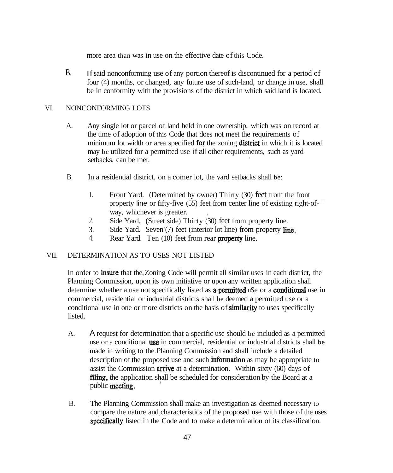more area than was in use on the effective date of this Code.

B. Ifsaid nonconforming use of any portion thereof is discontinued for a period of four (4) months, or changed, any future use of such-land, or change in use, shall be in conformity with the provisions of the district in which said land is located.

### VI. NONCONFORMING LOTS

- A. Any single lot or parcel of land held in one ownership, which was on record at the time of adoption of this Code that does not meet the requirements of minimum lot width or area specified **for** the zoning **district** in which it is located may be utilized for a permitted use if all other requirements, such as yard setbacks, can be met. '
- B. In a residential district, on a comer lot, the yard setbacks shall be:
	- 1. Front Yard. (Determined by owner) Thirty (30) feet from the front property line or fifty-five (55) feet from center line of existing right-of- ' way, whichever is greater.
	- 2. Side Yard. (Street side) Thirty (30) feet from property line.
	- 3. Side Yard. Seven'(7) feet (interior lot line) from property line.
	- 4. Rear Yard. Ten (10) feet from rear **property** line.

### VII. DETERMINATION AS TO USES NOT LISTED

In order to **insure** that the, Zoning Code will permit all similar uses in each district, the Planning Commission, upon its own initiative or upon any written application shall determine whether a use not specifically listed as **a permitted** uSe or a **conditional** use in commercial, residential or industrial districts shall be deemed a permitted use or a conditional use in one or more districts on the basis of **similarity** to uses specifically listed.

- A. A request for determination that a specific use should be included as a permitted use or a conditional **use** in commercial, residential or industrial districts shall be made in writing to the.Planning Commission and shall include a detailed description of the proposed use and such **information** as may be appropriate to assist the Commission **arrive** at a determination. Within sixty  $(60)$  days of filing, the application shall be scheduled for consideration by the Board at a public meeting.
- B. The Planning Commission shall make an investigation as deemed necessary to compare the nature and,characteristics of the proposed use with those of the uses specifically listed in the Code and to make a determination of its classification.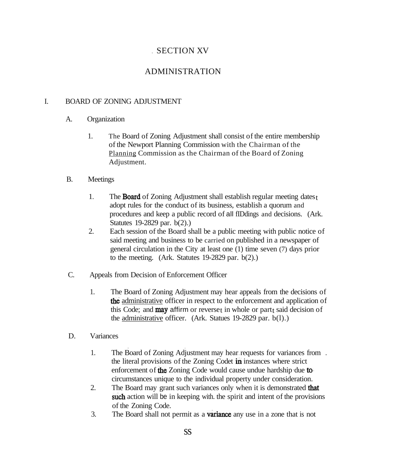# . SECTION XV

# ADMINISTRATION

### I. BOARD OF ZONING ADJUSTMENT

- A. Organization
	- 1. The Board of Zoning Adjustment shall consist of the entire membership of the Newport Planning Commission with the Chairman of the Planning Commission as the Chairman of the Board of Zoning Adjustment.

### B. Meetings

- 1. The **Board** of Zoning Adjustment shall establish regular meeting datest adopt rules for the conduct of its business, establish a quorum and procedures and keep a public record of all fIDdings and decisions. (Ark. Statutes 19-2829 par. b(2).)
- 2. Each session of the Board shall be a public meeting with public notice of said meeting and business to be carried on published in a newspaper of general circulation in the City at least one (1) time seven (7) days prior to the meeting. (Ark. Statutes 19-2829 par. b(2).)
- C. Appeals from Decision of Enforcement Officer
	- 1. The Board of Zoning Adjustment may hear appeals from the decisions of the administrative officer in respect to the enforcement and application of this Code; and **may** affirm or reverset in whole or partt said decision of the administrative officer. (Ark. Statues 19-2829 par. b(l).)
- D. Variances
	- . . 1. The Board of Zoning Adjustment may hear.requests for variances from . the literal provisions of the Zoning Codet in instances where strict enforcement of the Zoning Code would cause undue hardship·due tocircumstances unique to the individual property under consideration.
	- 2. The Board may grant such variances only when it is demonstrated that such action will be in keeping with, the spirit and intent of the provisions of the Zoning Code.
	- 3. The Board shall not permit as a **variance** any use in a zone that is not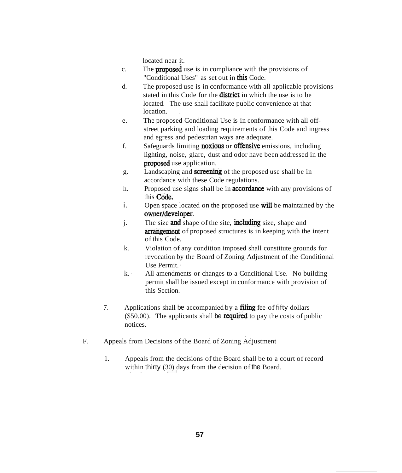located near it.

- c. The **proposed** use is in compliance with the provisions of "Conditional Uses" as set out in **this** Code.
- d. The proposed use is in conformance with all applicable provisions stated in this Code for the **district** in which the use is to be located. The use shall facilitate public convenience at that location.
- e. The proposed Conditional Use is in conformance with all offstreet parking and loading requirements of this Code and ingress and egress and pedestrian ways are adequate.
- f. Safeguards limiting **noxious** or **offensive** emissions, including lighting, noise, glare, dust and odor have been addressed in the proposed use application.
- g. Landscaping and screening of the proposed use shall be in accordance with these Code regulations.
- h. Proposed use signs shall be in **accordance** with any provisions of this Code.
- i. Open space located on the proposed use will be maintained by the owner/developer.
- j. The size **and** shape of the site, **including** size, shape and **arrangement** of proposed structures is in keeping with the intent of this Code. .
- k. Violation of any condition imposed shall constitute grounds for revocation by the Board of Zoning Adjustment of the Conditional Use Permit. ·
- k.· All amendments or changes to a Conciitional Use. No building permit shall be issued except in conformance with provision of this Section.
- 7. Applications shall be accompanied by a **filing** fee of fifty dollars  $($50.00)$ . The applicants shall be **required** to pay the costs of public notices.
- . . F. Appeals from Decisions of the Board of Zoning Adjustment
	- 1. Appeals from the decisions of the Board shall be to a court of record within thirty  $(30)$  days from the decision of the Board.